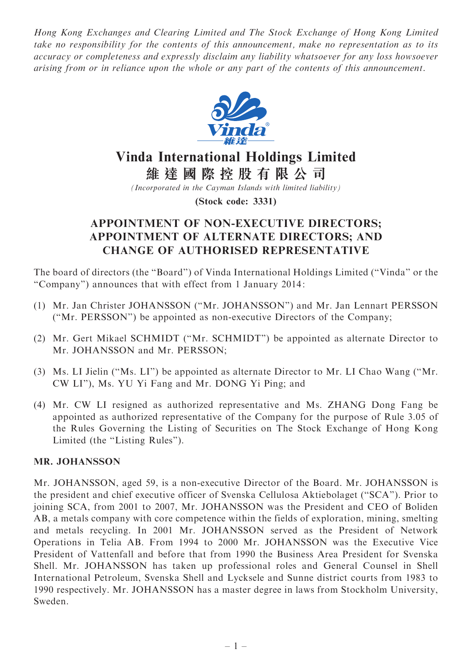Hong Kong Exchanges and Clearing Limited and The Stock Exchange of Hong Kong Limited take no responsibility for the contents of this announcement, make no representation as to its accuracy or completeness and expressly disclaim any liability whatsoever for any loss howsoever arising from or in reliance upon the whole or any part of the contents of this announcement.



# Vinda International Holdings Limited

維 達 國 際 控 股 有 限 公 司

(Incorporated in the Cayman Islands with limited liability)

(Stock code: 3331)

# APPOINTMENT OF NON-EXECUTIVE DIRECTORS; APPOINTMENT OF ALTERNATE DIRECTORS; AND CHANGE OF AUTHORISED REPRESENTATIVE

The board of directors (the ''Board'') of Vinda International Holdings Limited (''Vinda'' or the ''Company'') announces that with effect from 1 January 2014 :

- (1) Mr. Jan Christer JOHANSSON (''Mr. JOHANSSON'') and Mr. Jan Lennart PERSSON (''Mr. PERSSON'') be appointed as non-executive Directors of the Company;
- (2) Mr. Gert Mikael SCHMIDT (''Mr. SCHMIDT'') be appointed as alternate Director to Mr. JOHANSSON and Mr. PERSSON;
- (3) Ms. LI Jielin (''Ms. LI'') be appointed as alternate Director to Mr. LI Chao Wang (''Mr. CW LI''), Ms. YU Yi Fang and Mr. DONG Yi Ping; and
- (4) Mr. CW LI resigned as authorized representative and Ms. ZHANG Dong Fang be appointed as authorized representative of the Company for the purpose of Rule 3.05 of the Rules Governing the Listing of Securities on The Stock Exchange of Hong Kong Limited (the "Listing Rules").

## MR. JOHANSSON

Mr. JOHANSSON, aged 59, is a non-executive Director of the Board. Mr. JOHANSSON is the president and chief executive officer of Svenska Cellulosa Aktiebolaget (''SCA''). Prior to joining SCA, from 2001 to 2007, Mr. JOHANSSON was the President and CEO of Boliden AB, a metals company with core competence within the fields of exploration, mining, smelting and metals recycling. In 2001 Mr. JOHANSSON served as the President of Network Operations in Telia AB. From 1994 to 2000 Mr. JOHANSSON was the Executive Vice President of Vattenfall and before that from 1990 the Business Area President for Svenska Shell. Mr. JOHANSSON has taken up professional roles and General Counsel in Shell International Petroleum, Svenska Shell and Lycksele and Sunne district courts from 1983 to 1990 respectively. Mr. JOHANSSON has a master degree in laws from Stockholm University, Sweden.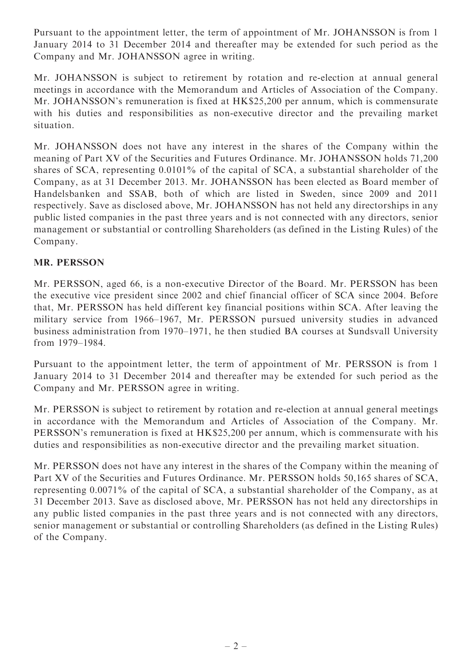Pursuant to the appointment letter, the term of appointment of Mr. JOHANSSON is from 1 January 2014 to 31 December 2014 and thereafter may be extended for such period as the Company and Mr. JOHANSSON agree in writing.

Mr. JOHANSSON is subject to retirement by rotation and re-election at annual general meetings in accordance with the Memorandum and Articles of Association of the Company. Mr. JOHANSSON's remuneration is fixed at HK\$25,200 per annum, which is commensurate with his duties and responsibilities as non-executive director and the prevailing market situation.

Mr. JOHANSSON does not have any interest in the shares of the Company within the meaning of Part XV of the Securities and Futures Ordinance. Mr. JOHANSSON holds 71,200 shares of SCA, representing 0.0101% of the capital of SCA, a substantial shareholder of the Company, as at 31 December 2013. Mr. JOHANSSON has been elected as Board member of Handelsbanken and SSAB, both of which are listed in Sweden, since 2009 and 2011 respectively. Save as disclosed above, Mr. JOHANSSON has not held any directorships in any public listed companies in the past three years and is not connected with any directors, senior management or substantial or controlling Shareholders (as defined in the Listing Rules) of the Company.

# MR. PERSSON

Mr. PERSSON, aged 66, is a non-executive Director of the Board. Mr. PERSSON has been the executive vice president since 2002 and chief financial officer of SCA since 2004. Before that, Mr. PERSSON has held different key financial positions within SCA. After leaving the military service from 1966–1967, Mr. PERSSON pursued university studies in advanced business administration from 1970–1971, he then studied BA courses at Sundsvall University from 1979–1984.

Pursuant to the appointment letter, the term of appointment of Mr. PERSSON is from 1 January 2014 to 31 December 2014 and thereafter may be extended for such period as the Company and Mr. PERSSON agree in writing.

Mr. PERSSON is subject to retirement by rotation and re-election at annual general meetings in accordance with the Memorandum and Articles of Association of the Company. Mr. PERSSON's remuneration is fixed at HK\$25,200 per annum, which is commensurate with his duties and responsibilities as non-executive director and the prevailing market situation.

Mr. PERSSON does not have any interest in the shares of the Company within the meaning of Part XV of the Securities and Futures Ordinance. Mr. PERSSON holds 50,165 shares of SCA, representing 0.0071% of the capital of SCA, a substantial shareholder of the Company, as at 31 December 2013. Save as disclosed above, Mr. PERSSON has not held any directorships in any public listed companies in the past three years and is not connected with any directors, senior management or substantial or controlling Shareholders (as defined in the Listing Rules) of the Company.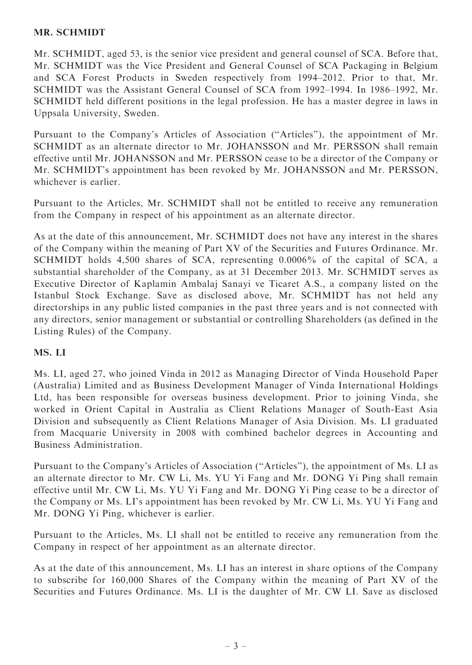#### MR. SCHMIDT

Mr. SCHMIDT, aged 53, is the senior vice president and general counsel of SCA. Before that, Mr. SCHMIDT was the Vice President and General Counsel of SCA Packaging in Belgium and SCA Forest Products in Sweden respectively from 1994–2012. Prior to that, Mr. SCHMIDT was the Assistant General Counsel of SCA from 1992–1994. In 1986–1992, Mr. SCHMIDT held different positions in the legal profession. He has a master degree in laws in Uppsala University, Sweden.

Pursuant to the Company's Articles of Association ("Articles"), the appointment of Mr. SCHMIDT as an alternate director to Mr. JOHANSSON and Mr. PERSSON shall remain effective until Mr. JOHANSSON and Mr. PERSSON cease to be a director of the Company or Mr. SCHMIDT's appointment has been revoked by Mr. JOHANSSON and Mr. PERSSON, whichever is earlier.

Pursuant to the Articles, Mr. SCHMIDT shall not be entitled to receive any remuneration from the Company in respect of his appointment as an alternate director.

As at the date of this announcement, Mr. SCHMIDT does not have any interest in the shares of the Company within the meaning of Part XV of the Securities and Futures Ordinance. Mr. SCHMIDT holds 4,500 shares of SCA, representing 0.0006% of the capital of SCA, a substantial shareholder of the Company, as at 31 December 2013. Mr. SCHMIDT serves as Executive Director of Kaplamin Ambalaj Sanayi ve Ticaret A.S., a company listed on the Istanbul Stock Exchange. Save as disclosed above, Mr. SCHMIDT has not held any directorships in any public listed companies in the past three years and is not connected with any directors, senior management or substantial or controlling Shareholders (as defined in the Listing Rules) of the Company.

## MS. LI

Ms. LI, aged 27, who joined Vinda in 2012 as Managing Director of Vinda Household Paper (Australia) Limited and as Business Development Manager of Vinda International Holdings Ltd, has been responsible for overseas business development. Prior to joining Vinda, she worked in Orient Capital in Australia as Client Relations Manager of South-East Asia Division and subsequently as Client Relations Manager of Asia Division. Ms. LI graduated from Macquarie University in 2008 with combined bachelor degrees in Accounting and Business Administration.

Pursuant to the Company's Articles of Association (''Articles''), the appointment of Ms. LI as an alternate director to Mr. CW Li, Ms. YU Yi Fang and Mr. DONG Yi Ping shall remain effective until Mr. CW Li, Ms. YU Yi Fang and Mr. DONG Yi Ping cease to be a director of the Company or Ms. LI's appointment has been revoked by Mr. CW Li, Ms. YU Yi Fang and Mr. DONG Yi Ping, whichever is earlier.

Pursuant to the Articles, Ms. LI shall not be entitled to receive any remuneration from the Company in respect of her appointment as an alternate director.

As at the date of this announcement, Ms. LI has an interest in share options of the Company to subscribe for 160,000 Shares of the Company within the meaning of Part XV of the Securities and Futures Ordinance. Ms. LI is the daughter of Mr. CW LI. Save as disclosed